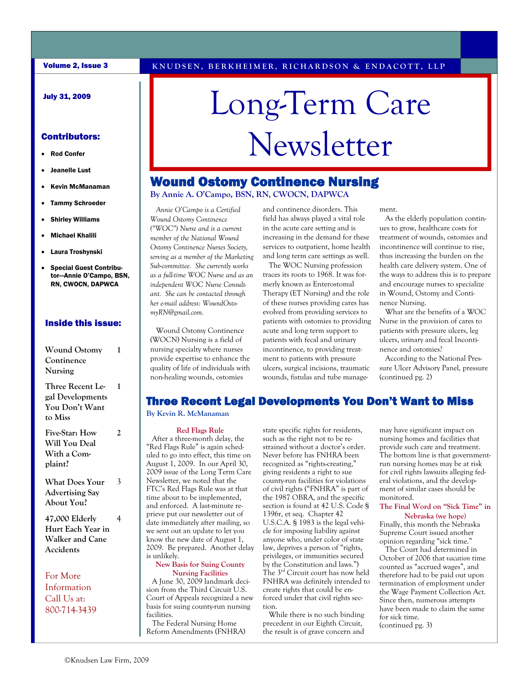#### July 31, 2009

- Rod Confer
- Jeanelle Lust
- Kevin McManaman
- Tammy Schroeder
- Shirley Williams
- Michael Khalili
- Laura Troshynski
- Special Guest Contributor—Annie O'Campo, BSN, RN, CWOCN, DAPWCA

#### Inside this issue:

| <b>Wound Ostomy</b><br>Continence<br>Nursing                      |   |
|-------------------------------------------------------------------|---|
| Three Recent Le-<br>gal Developments<br>You Don't Want<br>to Miss | 1 |
| Five-Star: How<br>Will You Deal<br>With a Com-<br>plaint?         | 2 |
| What Does Your<br><b>Advertising Say</b><br>About You?            |   |

**47,000 Elderly Hurt Each Year in Walker and Cane Accidents** 

For More Information Call Us at: 800-714-3439

# Long-Term Care Contributors: || Newsletter

#### Wound Ostomy Continence Nursing

**By Annie A. O'Campo, BSN, RN, CWOCN, DAPWCA** 

 *Annie O'Campo is a Certified Wound Ostomy Continence ("WOC") Nurse and is a current member of the National Wound Ostomy Continence Nurses Society, serving as a member of the Marketing Sub-committee. She currently works as a full-time WOC Nurse and as an independent WOC Nurse Consultant. She can be contacted through her e-mail address: WoundOstomyRN@gmail.com.* 

Wound Ostomy Continence (WOCN) Nursing is a field of nursing specialty where nurses provide expertise to enhance the quality of life of individuals with non-healing wounds, ostomies

and continence disorders. This field has always played a vital role in the acute care setting and is increasing in the demand for these services to outpatient, home health and long term care settings as well.

 The WOC Nursing profession traces its roots to 1968. It was formerly known as Enterostomal Therapy (ET Nursing) and the role of these nurses providing cares has evolved from providing services to patients with ostomies to providing acute and long term support to patients with fecal and urinary incontinence, to providing treatment to patients with pressure ulcers, surgical incisions, traumatic wounds, fistulas and tube management.

 As the elderly population continues to grow, healthcare costs for treatment of wounds, ostomies and incontinence will continue to rise, thus increasing the burden on the health care delivery system. One of the ways to address this is to prepare and encourage nurses to specialize in Wound, Ostomy and Continence Nursing.

 What are the benefits of a WOC Nurse in the provision of cares to patients with pressure ulcers, leg ulcers, urinary and fecal Incontinence and ostomies?

 According to the National Pressure Ulcer Advisory Panel, pressure (continued pg. 2)

#### Three Recent Legal Developments You Don't Want to Miss

#### **By Kevin R. McManaman**

#### **Red Flags Rule**

 After a three-month delay, the "Red Flags Rule" is again scheduled to go into effect, this time on August 1, 2009. In our April 30, 2009 issue of the Long Term Care Newsletter, we noted that the FTC's Red Flags Rule was at that time about to be implemented, and enforced. A last-minute reprieve put our newsletter out of date immediately after mailing, so we sent out an update to let you know the new date of August 1, 2009. Be prepared. Another delay is unlikely.

#### **New Basis for Suing County Nursing Facilities**

 A June 30, 2009 landmark decision from the Third Circuit U.S. Court of Appeals recognized a new basis for suing county-run nursing facilities.

 The Federal Nursing Home Reform Amendments (FNHRA) state specific rights for residents, such as the right not to be restrained without a doctor's order. Never before has FNHRA been recognized as "rights-creating," giving residents a right to sue county-run facilities for violations of civil rights ("FNHRA" is part of the 1987 OBRA, and the specific section is found at 42 U.S. Code § 1396r, et seq. Chapter 42 U.S.C.A. § 1983 is the legal vehicle for imposing liability against anyone who, under color of state law, deprives a person of "rights, privileges, or immunities secured by the Constitution and laws.") The 3rd Circuit court has now held FNHRA was definitely intended to create rights that could be enforced under that civil rights section.

 While there is no such binding precedent in our Eighth Circuit, the result is of grave concern and may have significant impact on nursing homes and facilities that provide such care and treatment. The bottom line is that governmentrun nursing homes may be at risk for civil rights lawsuits alleging federal violations, and the development of similar cases should be monitored.

#### **The Final Word on "Sick Time" in Nebraska (we hope)**

Finally, this month the Nebraska Supreme Court issued another opinion regarding "sick time."

 The Court had determined in October of 2006 that *vacation* time counted as "accrued wages", and therefore had to be paid out upon termination of employment under the Wage Payment Collection Act. Since then, numerous attempts have been made to claim the same for sick time. (continued pg. 3)

4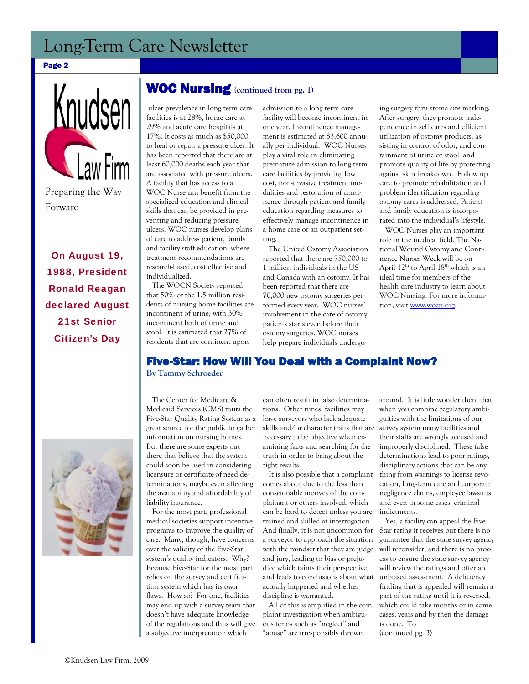### Long-Term Care Newsletter

#### Page 2



On August 19, 1988, President Ronald Reagan declared August 21st Senior Citizen's Day

#### WOC Nursing **(continued from pg. 1)**

 ulcer prevalence in long term care facilities is at 28%, home care at 29% and acute care hospitals at 17%. It costs as much as \$50,000 to heal or repair a pressure ulcer. It has been reported that there are at least 60,000 deaths each year that are associated with pressure ulcers. A facility that has access to a WOC Nurse can benefit from the specialized education and clinical skills that can be provided in preventing and reducing pressure ulcers. WOC nurses develop plans of care to address patient, family and facility staff education, where treatment recommendations are research-based, cost effective and individualized.

 The WOCN Society reported that 50% of the 1.5 million residents of nursing home facilities are incontinent of urine, with 30% incontinent both of urine and stool. It is estimated that 27% of residents that are continent upon

admission to a long term care facility will become incontinent in one year. Incontinence management is estimated at \$3,600 annually per individual. WOC Nurses play a vital role in eliminating premature admission to long term care facilities by providing low cost, non-invasive treatment modalities and restoration of continence through patient and family education regarding measures to effectively manage incontinence in a home care or an outpatient setting.

 The United Ostomy Association reported that there are 750,000 to 1 million individuals in the US and Canada with an ostomy. It has been reported that there are 70,000 new ostomy surgeries performed every year. WOC nurses' involvement in the care of ostomy patients starts even before their ostomy surgeries. WOC nurses help prepare individuals undergoing surgery thru stoma site marking. After surgery, they promote independence in self cares and efficient utilization of ostomy products, assisting in control of odor, and containment of urine or stool and promote quality of life by protecting against skin breakdown. Follow up care to promote rehabilitation and problem identification regarding ostomy cares is addressed. Patient and family education is incorporated into the individual's lifestyle.

 WOC Nurses play an important role in the medical field. The National Wound Ostomy and Continence Nurses Week will be on April  $12^{th}$  to April  $18^{th}$  which is an ideal time for members of the health care industry to learn about WOC Nursing. For more information, visit www.wocn.org.

#### Five-Star: How Will You Deal with a Complaint Now? **By Tammy Schroeder**



 The Center for Medicare & Medicaid Services (CMS) touts the Five-Star Quality Rating System as a great source for the public to gather information on nursing homes. But there are some experts out there that believe that the system could soon be used in considering licensure or certificate-of-need determinations, maybe even affecting the availability and affordability of liability insurance.

 For the most part, professional medical societies support incentive programs to improve the quality of care. Many, though, have concerns over the validity of the Five-Star system's quality indicators. Why? Because Five-Star for the most part relies on the survey and certification system which has its own flaws. How so? For one, facilities may end up with a survey team that doesn't have adequate knowledge of the regulations and thus will give a subjective interpretation which

can often result in false determinations. Other times, facilities may have surveyors who lack adequate skills and/or character traits that are necessary to be objective when examining facts and searching for the truth in order to bring about the right results.

 It is also possible that a complaint comes about due to the less than conscionable motives of the complainant or others involved, which can be hard to detect unless you are trained and skilled at interrogation. And finally, it is not uncommon for a surveyor to approach the situation with the mindset that they are judge and jury, leading to bias or prejudice which taints their perspective and leads to conclusions about what actually happened and whether discipline is warranted.

 All of this is amplified in the complaint investigation when ambiguous terms such as "neglect" and "abuse" are irresponsibly thrown

around. It is little wonder then, that when you combine regulatory ambiguities with the limitations of our survey system many facilities and their staffs are wrongly accused and improperly disciplined. These false determinations lead to poor ratings, disciplinary actions that can be anything from warnings to license revocation, long-term care and corporate negligence claims, employee lawsuits and even in some cases, criminal indictments.

 Yes, a facility can appeal the Five-Star rating it receives but there is no guarantee that the state survey agency will reconsider, and there is no process to ensure the state survey agency will review the ratings and offer an unbiased assessment. A deficiency finding that is appealed will remain a part of the rating until it is reversed, which could take months or in some cases, years and by then the damage is done. To

(continued pg. 3)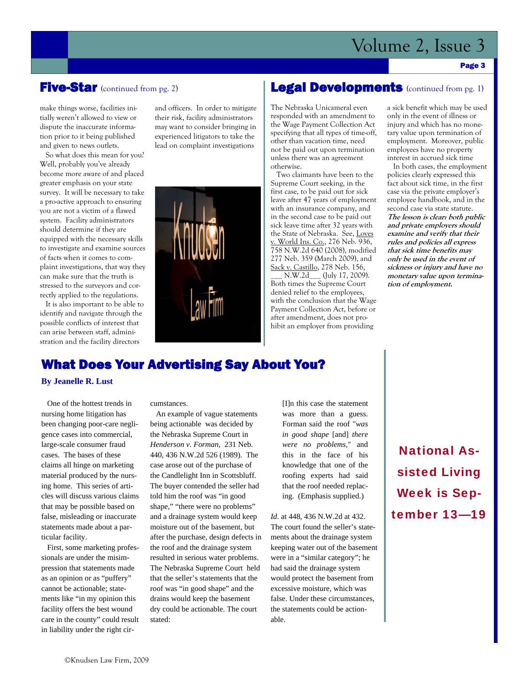## Volume 2, Issue 3

#### Page 3

#### **Five-Star** (continued from pg. 2)

make things worse, facilities initially weren't allowed to view or dispute the inaccurate information prior to it being published and given to news outlets.

 So what does this mean for you? Well, probably you've already become more aware of and placed greater emphasis on your state survey. It will be necessary to take a pro-active approach to ensuring you are not a victim of a flawed system. Facility administrators should determine if they are equipped with the necessary skills to investigate and examine sources of facts when it comes to complaint investigations, that way they can make sure that the truth is stressed to the surveyors and correctly applied to the regulations.

 It is also important to be able to identify and navigate through the possible conflicts of interest that can arise between staff, administration and the facility directors

and officers. In order to mitigate their risk, facility administrators may want to consider bringing in experienced litigators to take the lead on complaint investigations



#### Legal Developments (continued from pg. 1)

The Nebraska Unicameral even responded with an amendment to the Wage Payment Collection Act specifying that all types of time-off, other than vacation time, need not be paid out upon termination unless there was an agreement otherwise.

 Two claimants have been to the Supreme Court seeking, in the first case, to be paid out for sick leave after 47 years of employment with an insurance company, and in the second case to be paid out sick leave time after 32 years with the State of Nebraska. See, Loves v. World Ins. Co., 276 Neb. 936, 758 N.W.2d 640 (2008), modified 277 Neb. 359 (March 2009), and Sack v. Castillo, 278 Neb. 156,

\_\_\_ N.W.2d\_\_\_ (July 17, 2009). Both times the Supreme Court denied relief to the employees, with the conclusion that the Wage Payment Collection Act, before or after amendment, does not prohibit an employer from providing

a sick benefit which may be used only in the event of illness or injury and which has no monetary value upon termination of employment. Moreover, public employees have no property interest in accrued sick time

 In both cases, the employment policies clearly expressed this fact about sick time, in the first case via the private employer's employee handbook, and in the second case via state statute. **The lesson is clear: both public and private employers should examine and verify that their rules and policies all express that sick time benefits may only be used in the event of sickness or injury and have no monetary value upon termination of employment.** 

#### What Does Your Advertising Say About You?

#### **By Jeanelle R. Lust**

 One of the hottest trends in nursing home litigation has been changing poor-care negligence cases into commercial, large-scale consumer fraud cases. The bases of these claims all hinge on marketing material produced by the nursing home. This series of articles will discuss various claims that may be possible based on false, misleading or inaccurate statements made about a particular facility.

 First, some marketing professionals are under the misimpression that statements made as an opinion or as "puffery" cannot be actionable; statements like "in my opinion this facility offers the best wound care in the county" could result in liability under the right circumstances.

 An example of vague statements being actionable was decided by the Nebraska Supreme Court in *Henderson v. Forman,* 231 Neb. 440, 436 N.W.2d 526 (1989). The case arose out of the purchase of the Candlelight Inn in Scottsbluff. The buyer contended the seller had told him the roof was "in good shape," "there were no problems" and a drainage system would keep moisture out of the basement, but after the purchase, design defects in the roof and the drainage system resulted in serious water problems. The Nebraska Supreme Court held that the seller's statements that the roof was "in good shape" and the drains would keep the basement dry could be actionable. The court stated:

[I]n this case the statement was more than a guess. Forman said the roof "*was in good shape* [and] *there were no problems,*" and this in the face of his knowledge that one of the roofing experts had said that the roof needed replacing. (Emphasis supplied.)

*Id.* at 448, 436 N.W.2d at 432. The court found the seller's statements about the drainage system keeping water out of the basement were in a "similar category"; he had said the drainage system would protect the basement from excessive moisture, which was false. Under these circumstances, the statements could be actionable.

National Assisted Living Week is September 13—19